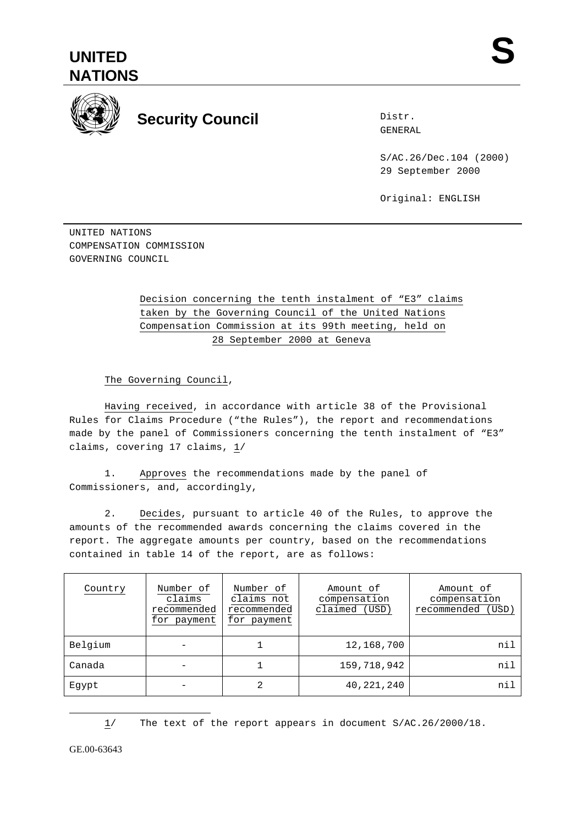



## **Security Council**

Distr. GENERAL

S/AC.26/Dec.104 (2000) 29 September 2000

Original: ENGLISH

UNITED NATIONS COMPENSATION COMMISSION GOVERNING COUNCIL

## Decision concerning the tenth instalment of "E3" claims taken by the Governing Council of the United Nations Compensation Commission at its 99th meeting, held on 28 September 2000 at Geneva

The Governing Council,

Having received, in accordance with article 38 of the Provisional Rules for Claims Procedure ("the Rules"), the report and recommendations made by the panel of Commissioners concerning the tenth instalment of "E3" claims, covering 17 claims, 1/

1. Approves the recommendations made by the panel of Commissioners, and, accordingly,

2. Decides, pursuant to article 40 of the Rules, to approve the amounts of the recommended awards concerning the claims covered in the report. The aggregate amounts per country, based on the recommendations contained in table 14 of the report, are as follows:

| Country | Number of<br>claims<br>recommended<br>for payment | Number of<br>claims not<br>recommended<br>for payment | Amount of<br>compensation<br>claimed (USD) | Amount of<br>compensation<br>recommended (USD) |
|---------|---------------------------------------------------|-------------------------------------------------------|--------------------------------------------|------------------------------------------------|
| Belgium |                                                   |                                                       | 12,168,700                                 | nil                                            |
| Canada  |                                                   |                                                       | 159,718,942                                | nil                                            |
| Eqypt   |                                                   | 2                                                     | 40, 221, 240                               | nil                                            |

1/ The text of the report appears in document S/AC.26/2000/18.

GE.00-63643

 $\overline{a}$